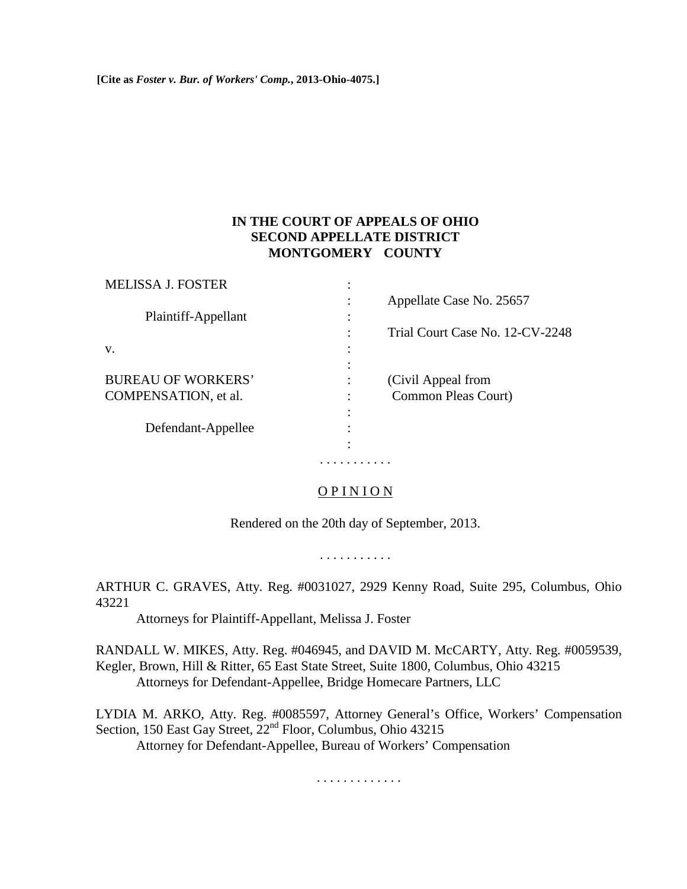**[Cite as** *Foster v. Bur. of Workers' Comp.***, 2013-Ohio-4075.]**

## **IN THE COURT OF APPEALS OF OHIO SECOND APPELLATE DISTRICT MONTGOMERY COUNTY**

| <b>MELISSA J. FOSTER</b>  |   |                                 |
|---------------------------|---|---------------------------------|
| Plaintiff-Appellant       |   | Appellate Case No. 25657        |
|                           |   |                                 |
|                           |   | Trial Court Case No. 12-CV-2248 |
| V.                        |   |                                 |
|                           | ٠ |                                 |
| <b>BUREAU OF WORKERS'</b> |   | (Civil Appeal from              |
| COMPENSATION, et al.      |   | Common Pleas Court)             |
|                           |   |                                 |
| Defendant-Appellee        | ٠ |                                 |
|                           |   |                                 |
|                           |   |                                 |

## O P I N I O N

Rendered on the 20th day of September, 2013.

. . . . . . . . . . .

ARTHUR C. GRAVES, Atty. Reg. #0031027, 2929 Kenny Road, Suite 295, Columbus, Ohio 43221

Attorneys for Plaintiff-Appellant, Melissa J. Foster

RANDALL W. MIKES, Atty. Reg. #046945, and DAVID M. McCARTY, Atty. Reg. #0059539, Kegler, Brown, Hill & Ritter, 65 East State Street, Suite 1800, Columbus, Ohio 43215 Attorneys for Defendant-Appellee, Bridge Homecare Partners, LLC

LYDIA M. ARKO, Atty. Reg. #0085597, Attorney General's Office, Workers' Compensation Section, 150 East Gay Street, 22<sup>nd</sup> Floor, Columbus, Ohio 43215 Attorney for Defendant-Appellee, Bureau of Workers' Compensation

. . . . . . . . . . . . .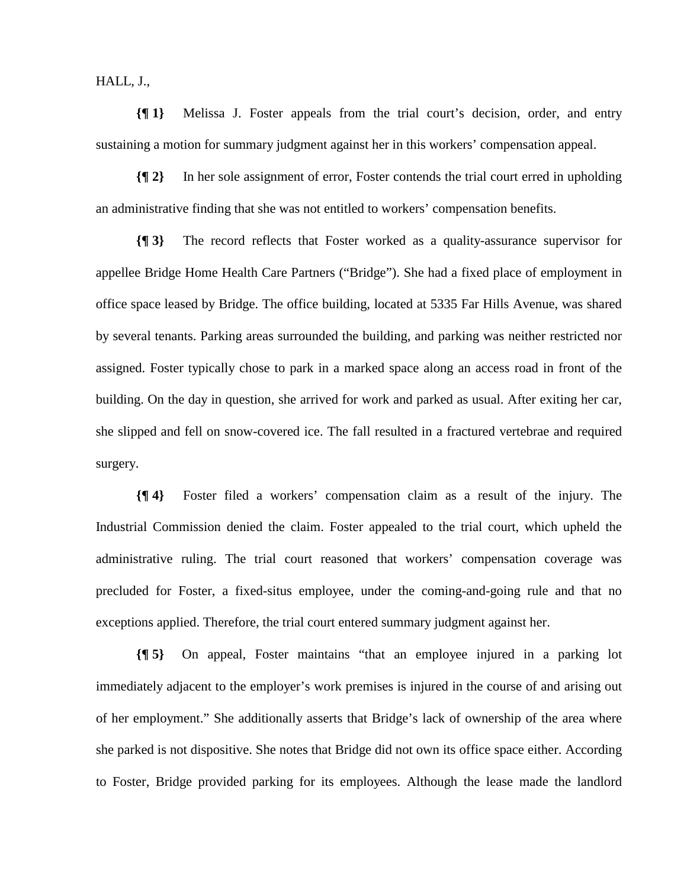HALL, J.,

**{¶ 1}** Melissa J. Foster appeals from the trial court's decision, order, and entry sustaining a motion for summary judgment against her in this workers' compensation appeal.

**{¶ 2}** In her sole assignment of error, Foster contends the trial court erred in upholding an administrative finding that she was not entitled to workers' compensation benefits.

**{¶ 3}** The record reflects that Foster worked as a quality-assurance supervisor for appellee Bridge Home Health Care Partners ("Bridge"). She had a fixed place of employment in office space leased by Bridge. The office building, located at 5335 Far Hills Avenue, was shared by several tenants. Parking areas surrounded the building, and parking was neither restricted nor assigned. Foster typically chose to park in a marked space along an access road in front of the building. On the day in question, she arrived for work and parked as usual. After exiting her car, she slipped and fell on snow-covered ice. The fall resulted in a fractured vertebrae and required surgery.

**{¶ 4}** Foster filed a workers' compensation claim as a result of the injury. The Industrial Commission denied the claim. Foster appealed to the trial court, which upheld the administrative ruling. The trial court reasoned that workers' compensation coverage was precluded for Foster, a fixed-situs employee, under the coming-and-going rule and that no exceptions applied. Therefore, the trial court entered summary judgment against her.

**{¶ 5}** On appeal, Foster maintains "that an employee injured in a parking lot immediately adjacent to the employer's work premises is injured in the course of and arising out of her employment." She additionally asserts that Bridge's lack of ownership of the area where she parked is not dispositive. She notes that Bridge did not own its office space either. According to Foster, Bridge provided parking for its employees. Although the lease made the landlord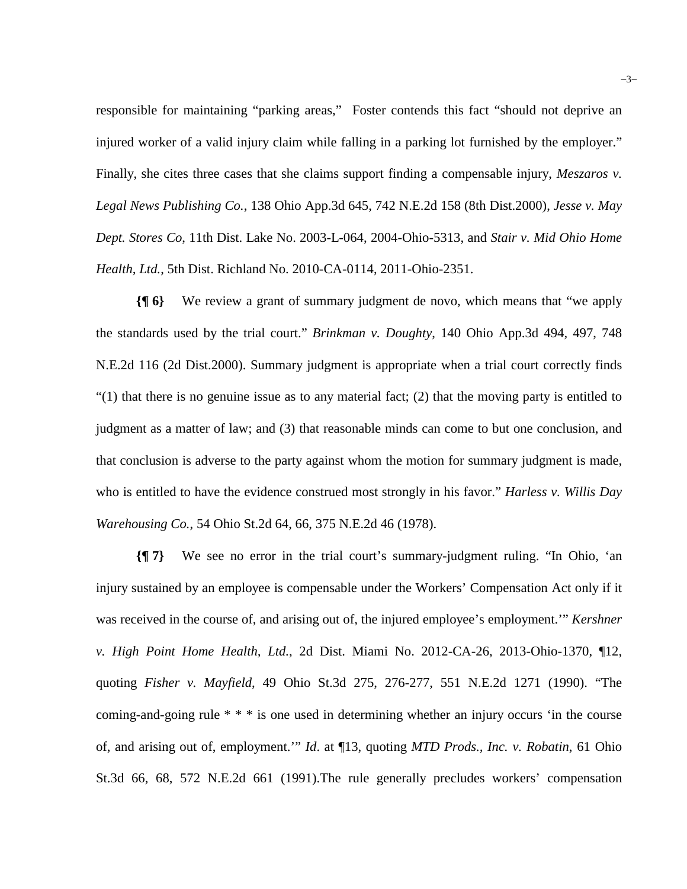responsible for maintaining "parking areas," Foster contends this fact "should not deprive an injured worker of a valid injury claim while falling in a parking lot furnished by the employer." Finally, she cites three cases that she claims support finding a compensable injury, *Meszaros v. Legal News Publishing Co.*, 138 Ohio App.3d 645, 742 N.E.2d 158 (8th Dist.2000), *Jesse v. May Dept. Stores Co*, 11th Dist. Lake No. 2003-L-064, 2004-Ohio-5313, and *Stair v. Mid Ohio Home Health, Ltd.*, 5th Dist. Richland No. 2010-CA-0114, 2011-Ohio-2351.

**{¶ 6}** We review a grant of summary judgment de novo, which means that "we apply the standards used by the trial court." *Brinkman v. Doughty*, 140 Ohio App.3d 494, 497, 748 N.E.2d 116 (2d Dist.2000). Summary judgment is appropriate when a trial court correctly finds  $(1)$  that there is no genuine issue as to any material fact; (2) that the moving party is entitled to judgment as a matter of law; and (3) that reasonable minds can come to but one conclusion, and that conclusion is adverse to the party against whom the motion for summary judgment is made, who is entitled to have the evidence construed most strongly in his favor." *Harless v. Willis Day Warehousing Co.*, 54 Ohio St.2d 64, 66, 375 N.E.2d 46 (1978).

**{¶ 7}** We see no error in the trial court's summary-judgment ruling. "In Ohio, 'an injury sustained by an employee is compensable under the Workers' Compensation Act only if it was received in the course of, and arising out of, the injured employee's employment." *Kershner v. High Point Home Health, Ltd.*, 2d Dist. Miami No. 2012-CA-26, 2013-Ohio-1370, ¶12, quoting *Fisher v. Mayfield*, 49 Ohio St.3d 275, 276-277, 551 N.E.2d 1271 (1990). "The coming-and-going rule  $* * *$  is one used in determining whether an injury occurs 'in the course of, and arising out of, employment.'" *Id*. at ¶13, quoting *MTD Prods., Inc. v. Robatin*, 61 Ohio St.3d 66, 68, 572 N.E.2d 661 (1991).The rule generally precludes workers' compensation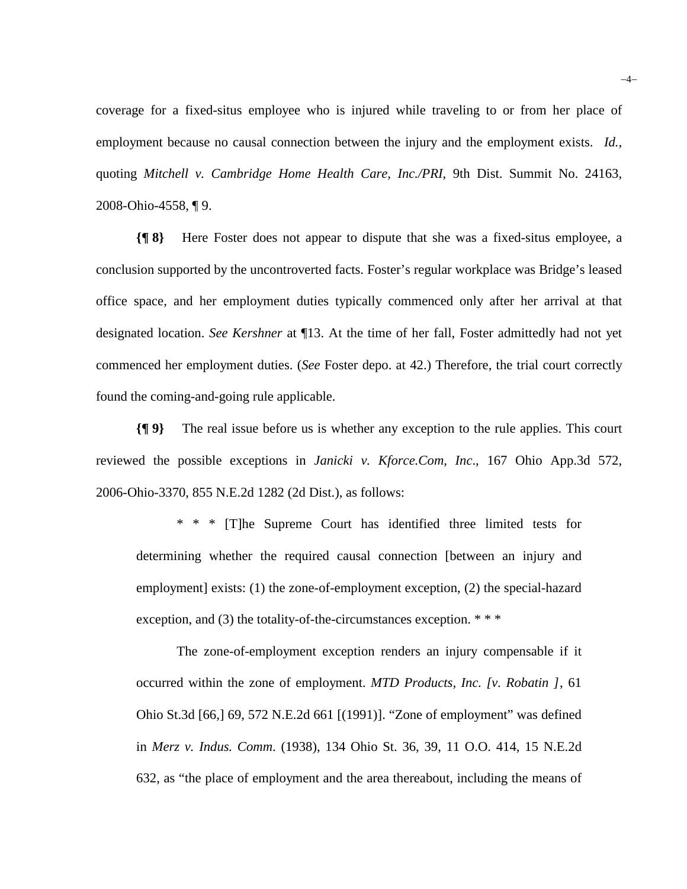coverage for a fixed-situs employee who is injured while traveling to or from her place of employment because no causal connection between the injury and the employment exists. *Id.*, quoting *Mitchell v. Cambridge Home Health Care, Inc./PRI*, 9th Dist. Summit No. 24163, 2008-Ohio-4558, ¶ 9.

**{¶ 8}** Here Foster does not appear to dispute that she was a fixed-situs employee, a conclusion supported by the uncontroverted facts. Foster's regular workplace was Bridge's leased office space, and her employment duties typically commenced only after her arrival at that designated location. *See Kershner* at ¶13. At the time of her fall, Foster admittedly had not yet commenced her employment duties. (*See* Foster depo. at 42.) Therefore, the trial court correctly found the coming-and-going rule applicable.

**{¶ 9}** The real issue before us is whether any exception to the rule applies. This court reviewed the possible exceptions in *Janicki v. Kforce.Com, Inc*., 167 Ohio App.3d 572, 2006-Ohio-3370, 855 N.E.2d 1282 (2d Dist.), as follows:

\* \* \* [T]he Supreme Court has identified three limited tests for determining whether the required causal connection [between an injury and employment] exists: (1) the zone-of-employment exception, (2) the special-hazard exception, and (3) the totality-of-the-circumstances exception. \* \* \*

The zone-of-employment exception renders an injury compensable if it occurred within the zone of employment. *MTD Products, Inc. [v. Robatin ]*, 61 Ohio St.3d [66,] 69, 572 N.E.2d 661 [(1991)]. "Zone of employment" was defined in *Merz v. Indus. Comm*. (1938), 134 Ohio St. 36, 39, 11 O.O. 414, 15 N.E.2d 632, as "the place of employment and the area thereabout, including the means of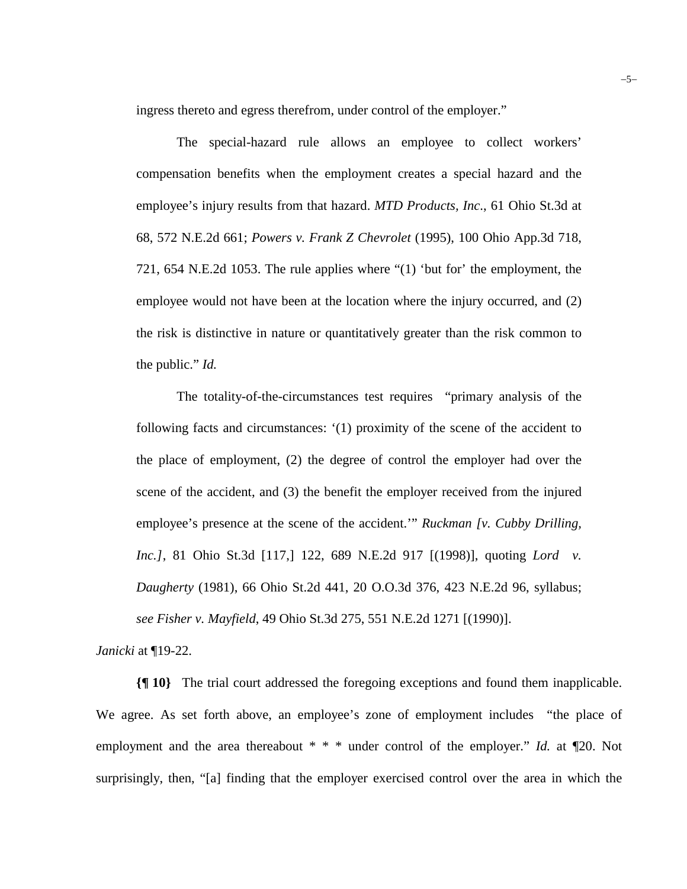ingress thereto and egress therefrom, under control of the employer."

The special-hazard rule allows an employee to collect workers' compensation benefits when the employment creates a special hazard and the employee's injury results from that hazard. *MTD Products, Inc*., 61 Ohio St.3d at 68, 572 N.E.2d 661; *Powers v. Frank Z Chevrolet* (1995), 100 Ohio App.3d 718, 721, 654 N.E.2d 1053. The rule applies where "(1) 'but for' the employment, the employee would not have been at the location where the injury occurred, and (2) the risk is distinctive in nature or quantitatively greater than the risk common to the public." *Id.*

The totality-of-the-circumstances test requires "primary analysis of the following facts and circumstances: '(1) proximity of the scene of the accident to the place of employment, (2) the degree of control the employer had over the scene of the accident, and (3) the benefit the employer received from the injured employee's presence at the scene of the accident.'" *Ruckman [v. Cubby Drilling, Inc.]*, 81 Ohio St.3d [117,] 122, 689 N.E.2d 917 [(1998)], quoting *Lord v. Daugherty* (1981), 66 Ohio St.2d 441, 20 O.O.3d 376, 423 N.E.2d 96, syllabus; *see Fisher v. Mayfield*, 49 Ohio St.3d 275, 551 N.E.2d 1271 [(1990)].

*Janicki* at ¶19-22.

**{¶ 10}** The trial court addressed the foregoing exceptions and found them inapplicable. We agree. As set forth above, an employee's zone of employment includes "the place of employment and the area thereabout \* \* \* under control of the employer." *Id.* at ¶20. Not surprisingly, then, "[a] finding that the employer exercised control over the area in which the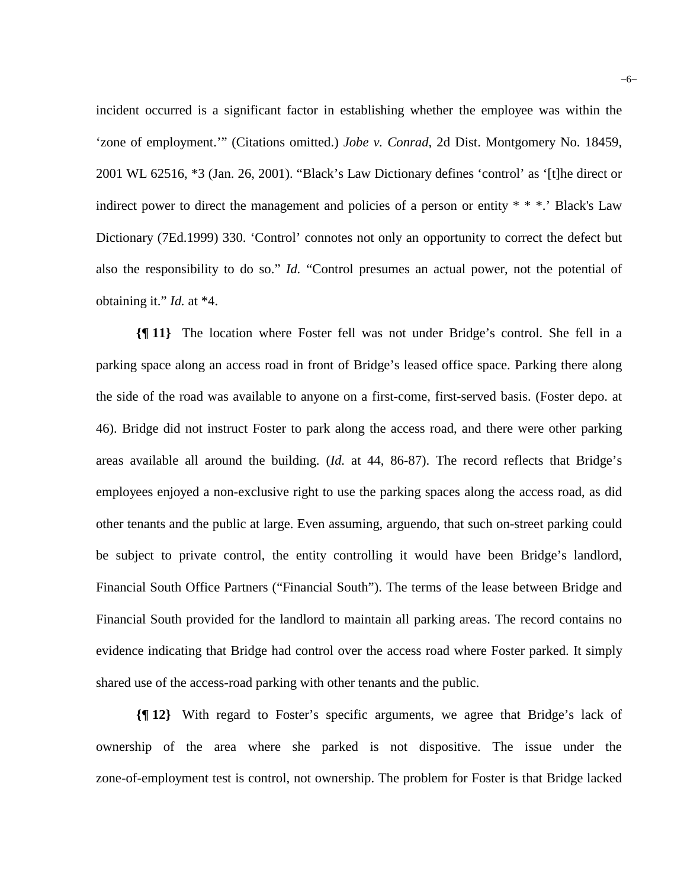incident occurred is a significant factor in establishing whether the employee was within the 'zone of employment.'" (Citations omitted.) *Jobe v. Conrad*, 2d Dist. Montgomery No. 18459, 2001 WL 62516, \*3 (Jan. 26, 2001). "Black's Law Dictionary defines 'control' as '[t]he direct or indirect power to direct the management and policies of a person or entity  $* * *$ .' Black's Law Dictionary (7Ed.1999) 330. 'Control' connotes not only an opportunity to correct the defect but also the responsibility to do so." *Id.* "Control presumes an actual power, not the potential of obtaining it." *Id.* at \*4.

**{¶ 11}** The location where Foster fell was not under Bridge's control. She fell in a parking space along an access road in front of Bridge's leased office space. Parking there along the side of the road was available to anyone on a first-come, first-served basis. (Foster depo. at 46). Bridge did not instruct Foster to park along the access road, and there were other parking areas available all around the building. (*Id.* at 44, 86-87). The record reflects that Bridge's employees enjoyed a non-exclusive right to use the parking spaces along the access road, as did other tenants and the public at large. Even assuming, arguendo, that such on-street parking could be subject to private control, the entity controlling it would have been Bridge's landlord, Financial South Office Partners ("Financial South"). The terms of the lease between Bridge and Financial South provided for the landlord to maintain all parking areas. The record contains no evidence indicating that Bridge had control over the access road where Foster parked. It simply shared use of the access-road parking with other tenants and the public.

**{¶ 12}** With regard to Foster's specific arguments, we agree that Bridge's lack of ownership of the area where she parked is not dispositive. The issue under the zone-of-employment test is control, not ownership. The problem for Foster is that Bridge lacked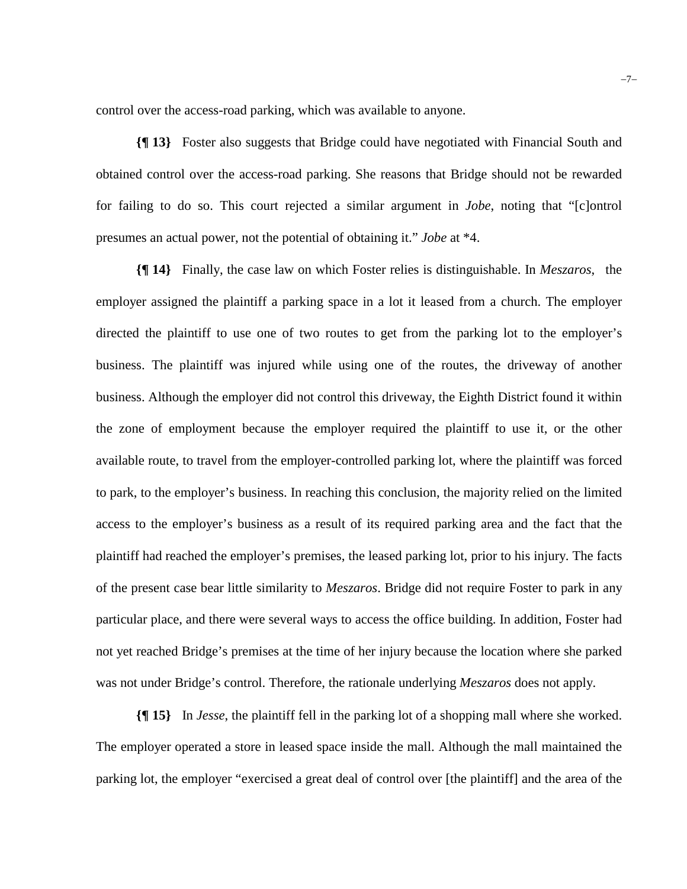control over the access-road parking, which was available to anyone.

**{¶ 13}** Foster also suggests that Bridge could have negotiated with Financial South and obtained control over the access-road parking. She reasons that Bridge should not be rewarded for failing to do so. This court rejected a similar argument in *Jobe*, noting that "[c]ontrol presumes an actual power, not the potential of obtaining it." *Jobe* at \*4.

**{¶ 14}** Finally, the case law on which Foster relies is distinguishable. In *Meszaros*, the employer assigned the plaintiff a parking space in a lot it leased from a church. The employer directed the plaintiff to use one of two routes to get from the parking lot to the employer's business. The plaintiff was injured while using one of the routes, the driveway of another business. Although the employer did not control this driveway, the Eighth District found it within the zone of employment because the employer required the plaintiff to use it, or the other available route, to travel from the employer-controlled parking lot, where the plaintiff was forced to park, to the employer's business. In reaching this conclusion, the majority relied on the limited access to the employer's business as a result of its required parking area and the fact that the plaintiff had reached the employer's premises, the leased parking lot, prior to his injury. The facts of the present case bear little similarity to *Meszaros*. Bridge did not require Foster to park in any particular place, and there were several ways to access the office building. In addition, Foster had not yet reached Bridge's premises at the time of her injury because the location where she parked was not under Bridge's control. Therefore, the rationale underlying *Meszaros* does not apply.

**{¶ 15}** In *Jesse*, the plaintiff fell in the parking lot of a shopping mall where she worked. The employer operated a store in leased space inside the mall. Although the mall maintained the parking lot, the employer "exercised a great deal of control over [the plaintiff] and the area of the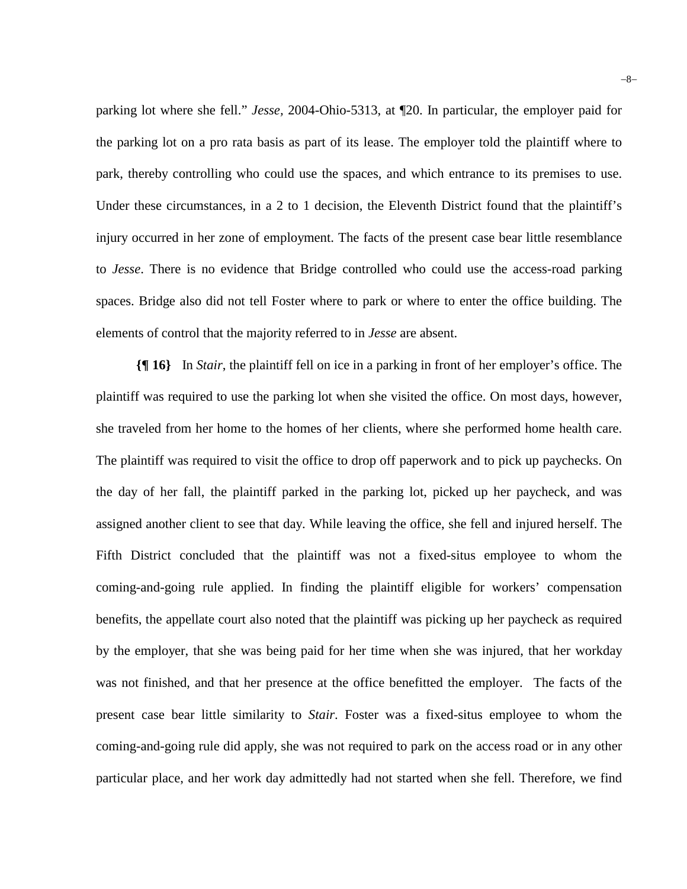parking lot where she fell." *Jesse,* 2004-Ohio-5313, at ¶20. In particular, the employer paid for the parking lot on a pro rata basis as part of its lease. The employer told the plaintiff where to park, thereby controlling who could use the spaces, and which entrance to its premises to use. Under these circumstances, in a 2 to 1 decision, the Eleventh District found that the plaintiff's injury occurred in her zone of employment. The facts of the present case bear little resemblance to *Jesse*. There is no evidence that Bridge controlled who could use the access-road parking spaces. Bridge also did not tell Foster where to park or where to enter the office building. The elements of control that the majority referred to in *Jesse* are absent.

**{¶ 16}** In *Stair*, the plaintiff fell on ice in a parking in front of her employer's office. The plaintiff was required to use the parking lot when she visited the office. On most days, however, she traveled from her home to the homes of her clients, where she performed home health care. The plaintiff was required to visit the office to drop off paperwork and to pick up paychecks. On the day of her fall, the plaintiff parked in the parking lot, picked up her paycheck, and was assigned another client to see that day. While leaving the office, she fell and injured herself. The Fifth District concluded that the plaintiff was not a fixed-situs employee to whom the coming-and-going rule applied. In finding the plaintiff eligible for workers' compensation benefits, the appellate court also noted that the plaintiff was picking up her paycheck as required by the employer, that she was being paid for her time when she was injured, that her workday was not finished, and that her presence at the office benefitted the employer. The facts of the present case bear little similarity to *Stair*. Foster was a fixed-situs employee to whom the coming-and-going rule did apply, she was not required to park on the access road or in any other particular place, and her work day admittedly had not started when she fell. Therefore, we find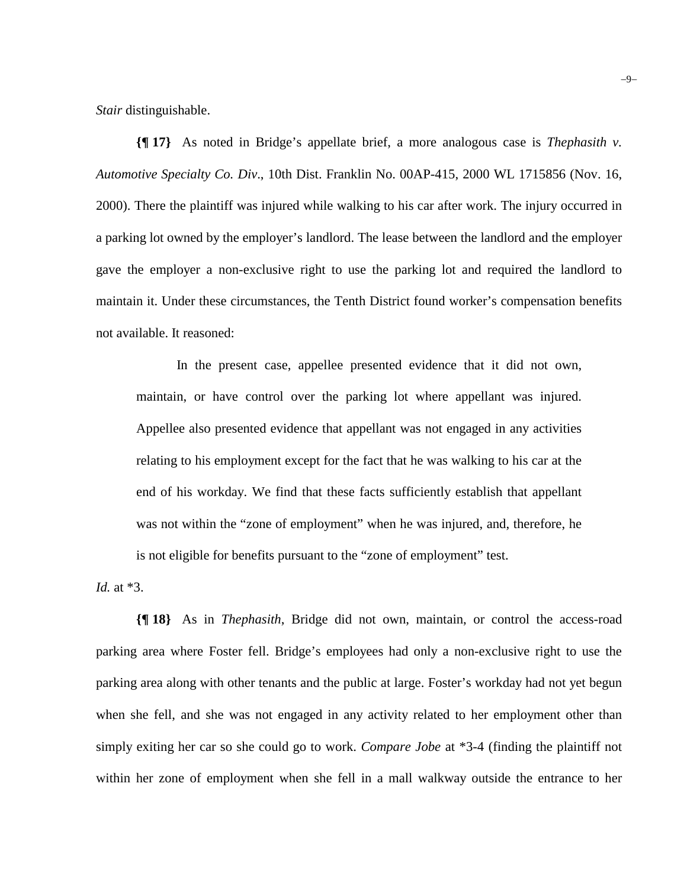*Stair* distinguishable.

**{¶ 17}** As noted in Bridge's appellate brief, a more analogous case is *Thephasith v. Automotive Specialty Co. Div*., 10th Dist. Franklin No. 00AP-415, 2000 WL 1715856 (Nov. 16, 2000). There the plaintiff was injured while walking to his car after work. The injury occurred in a parking lot owned by the employer's landlord. The lease between the landlord and the employer gave the employer a non-exclusive right to use the parking lot and required the landlord to maintain it. Under these circumstances, the Tenth District found worker's compensation benefits not available. It reasoned:

In the present case, appellee presented evidence that it did not own, maintain, or have control over the parking lot where appellant was injured. Appellee also presented evidence that appellant was not engaged in any activities relating to his employment except for the fact that he was walking to his car at the end of his workday. We find that these facts sufficiently establish that appellant was not within the "zone of employment" when he was injured, and, therefore, he is not eligible for benefits pursuant to the "zone of employment" test.

*Id.* at \*3.

**{¶ 18}** As in *Thephasith*, Bridge did not own, maintain, or control the access-road parking area where Foster fell. Bridge's employees had only a non-exclusive right to use the parking area along with other tenants and the public at large. Foster's workday had not yet begun when she fell, and she was not engaged in any activity related to her employment other than simply exiting her car so she could go to work. *Compare Jobe* at \*3-4 (finding the plaintiff not within her zone of employment when she fell in a mall walkway outside the entrance to her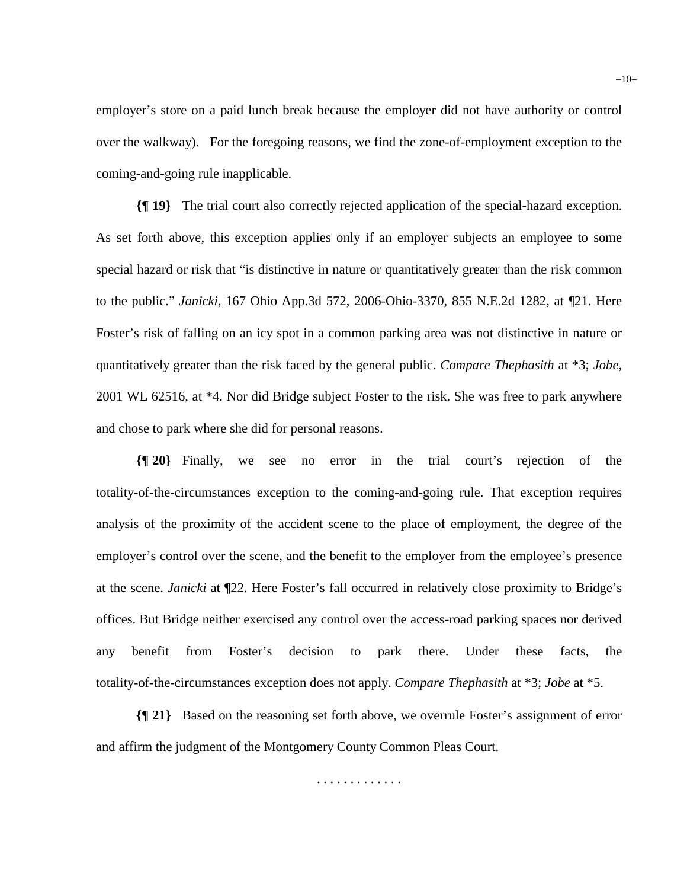employer's store on a paid lunch break because the employer did not have authority or control over the walkway). For the foregoing reasons, we find the zone-of-employment exception to the coming-and-going rule inapplicable.

**{¶ 19}** The trial court also correctly rejected application of the special-hazard exception. As set forth above, this exception applies only if an employer subjects an employee to some special hazard or risk that "is distinctive in nature or quantitatively greater than the risk common to the public." *Janicki,* 167 Ohio App.3d 572, 2006-Ohio-3370, 855 N.E.2d 1282, at ¶21. Here Foster's risk of falling on an icy spot in a common parking area was not distinctive in nature or quantitatively greater than the risk faced by the general public. *Compare Thephasith* at \*3; *Jobe,*  2001 WL 62516, at \*4. Nor did Bridge subject Foster to the risk. She was free to park anywhere and chose to park where she did for personal reasons.

**{¶ 20}** Finally, we see no error in the trial court's rejection of the totality-of-the-circumstances exception to the coming-and-going rule. That exception requires analysis of the proximity of the accident scene to the place of employment, the degree of the employer's control over the scene, and the benefit to the employer from the employee's presence at the scene. *Janicki* at ¶22. Here Foster's fall occurred in relatively close proximity to Bridge's offices. But Bridge neither exercised any control over the access-road parking spaces nor derived any benefit from Foster's decision to park there. Under these facts, the totality-of-the-circumstances exception does not apply. *Compare Thephasith* at \*3; *Jobe* at \*5.

**{¶ 21}** Based on the reasoning set forth above, we overrule Foster's assignment of error and affirm the judgment of the Montgomery County Common Pleas Court.

. . . . . . . . . . . . .